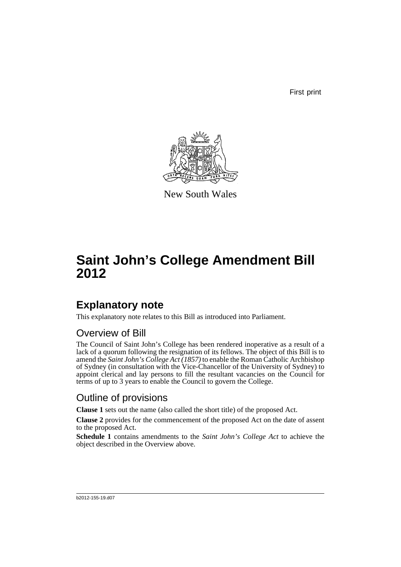First print



New South Wales

# **Saint John's College Amendment Bill 2012**

## **Explanatory note**

This explanatory note relates to this Bill as introduced into Parliament.

#### Overview of Bill

The Council of Saint John's College has been rendered inoperative as a result of a lack of a quorum following the resignation of its fellows. The object of this Bill is to amend the *Saint John's College Act (1857)* to enable the Roman Catholic Archbishop of Sydney (in consultation with the Vice-Chancellor of the University of Sydney) to appoint clerical and lay persons to fill the resultant vacancies on the Council for terms of up to 3 years to enable the Council to govern the College.

#### Outline of provisions

**Clause 1** sets out the name (also called the short title) of the proposed Act.

**Clause 2** provides for the commencement of the proposed Act on the date of assent to the proposed Act.

**Schedule 1** contains amendments to the *Saint John's College Act* to achieve the object described in the Overview above.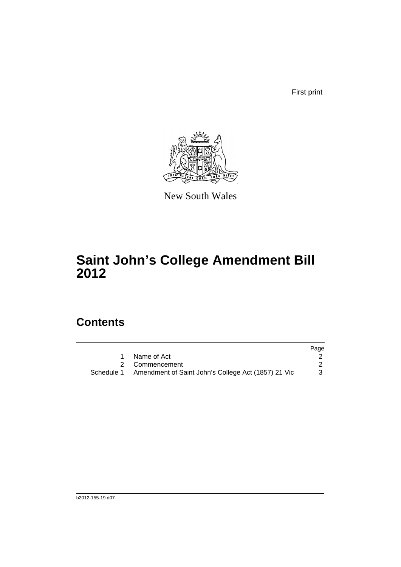First print



New South Wales

# **Saint John's College Amendment Bill 2012**

### **Contents**

|                                                                | Page |
|----------------------------------------------------------------|------|
| Name of Act                                                    |      |
| 2 Commencement                                                 |      |
| Schedule 1 Amendment of Saint John's College Act (1857) 21 Vic |      |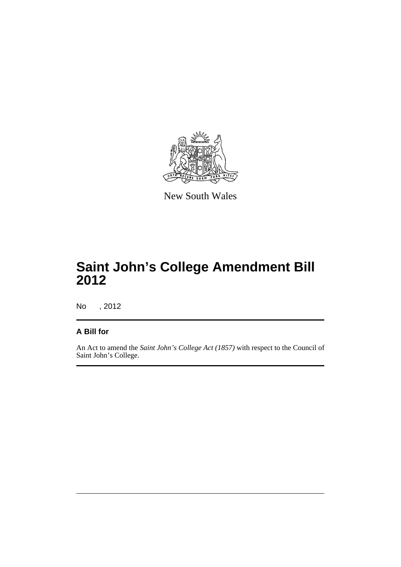

New South Wales

## **Saint John's College Amendment Bill 2012**

No , 2012

#### **A Bill for**

An Act to amend the *Saint John's College Act (1857)* with respect to the Council of Saint John's College.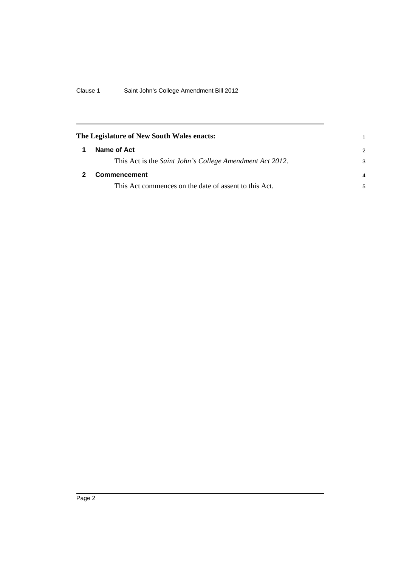<span id="page-5-1"></span><span id="page-5-0"></span>

| The Legislature of New South Wales enacts:               |               |
|----------------------------------------------------------|---------------|
| Name of Act                                              | $\mathcal{P}$ |
| This Act is the Saint John's College Amendment Act 2012. | 3             |
| <b>Commencement</b>                                      |               |
| This Act commences on the date of assent to this Act.    | 5             |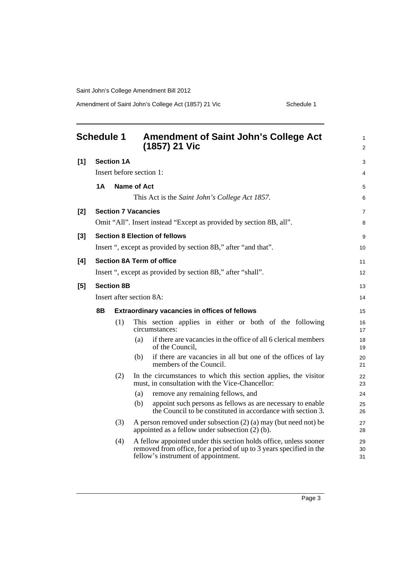Saint John's College Amendment Bill 2012

Amendment of Saint John's College Act (1857) 21 Vic Schedule 1

<span id="page-6-0"></span>

| <b>Schedule 1</b><br><b>Amendment of Saint John's College Act</b><br>(1857) 21 Vic |    |                   |                                                                                                                                                                                 |                |  |
|------------------------------------------------------------------------------------|----|-------------------|---------------------------------------------------------------------------------------------------------------------------------------------------------------------------------|----------------|--|
| [1]                                                                                |    | <b>Section 1A</b> |                                                                                                                                                                                 | 3              |  |
|                                                                                    |    |                   | Insert before section 1:                                                                                                                                                        | 4              |  |
|                                                                                    | 1A |                   | <b>Name of Act</b>                                                                                                                                                              | 5              |  |
|                                                                                    |    |                   | This Act is the Saint John's College Act 1857.                                                                                                                                  | 6              |  |
| $[2]$                                                                              |    |                   | <b>Section 7 Vacancies</b>                                                                                                                                                      | $\overline{7}$ |  |
|                                                                                    |    |                   | Omit "All". Insert instead "Except as provided by section 8B, all".                                                                                                             | 8              |  |
| $[3]$                                                                              |    |                   | <b>Section 8 Election of fellows</b>                                                                                                                                            | 9              |  |
|                                                                                    |    |                   | Insert ", except as provided by section 8B," after "and that".                                                                                                                  | 10             |  |
| [4]                                                                                |    |                   | <b>Section 8A Term of office</b>                                                                                                                                                | 11             |  |
|                                                                                    |    |                   | Insert ", except as provided by section 8B," after "shall".                                                                                                                     | 12             |  |
| [5]                                                                                |    | <b>Section 8B</b> |                                                                                                                                                                                 | 13             |  |
|                                                                                    |    |                   | Insert after section 8A:                                                                                                                                                        | 14             |  |
|                                                                                    | 8Β |                   | <b>Extraordinary vacancies in offices of fellows</b>                                                                                                                            | 15             |  |
|                                                                                    |    | (1)               | This section applies in either or both of the following<br>circumstances:                                                                                                       | 16<br>17       |  |
|                                                                                    |    |                   | if there are vacancies in the office of all 6 clerical members<br>(a)<br>of the Council,                                                                                        | 18<br>19       |  |
|                                                                                    |    |                   | if there are vacancies in all but one of the offices of lay<br>(b)<br>members of the Council.                                                                                   | 20<br>21       |  |
|                                                                                    |    | (2)               | In the circumstances to which this section applies, the visitor<br>must, in consultation with the Vice-Chancellor:                                                              | 22<br>23       |  |
|                                                                                    |    |                   | remove any remaining fellows, and<br>(a)                                                                                                                                        | 24             |  |
|                                                                                    |    |                   | appoint such persons as fellows as are necessary to enable<br>(b)<br>the Council to be constituted in accordance with section 3.                                                | 25<br>26       |  |
|                                                                                    |    | (3)               | A person removed under subsection $(2)$ (a) may (but need not) be<br>appointed as a fellow under subsection $(2)$ (b).                                                          | 27<br>28       |  |
|                                                                                    |    | (4)               | A fellow appointed under this section holds office, unless sooner<br>removed from office, for a period of up to 3 years specified in the<br>fellow's instrument of appointment. | 29<br>30<br>31 |  |